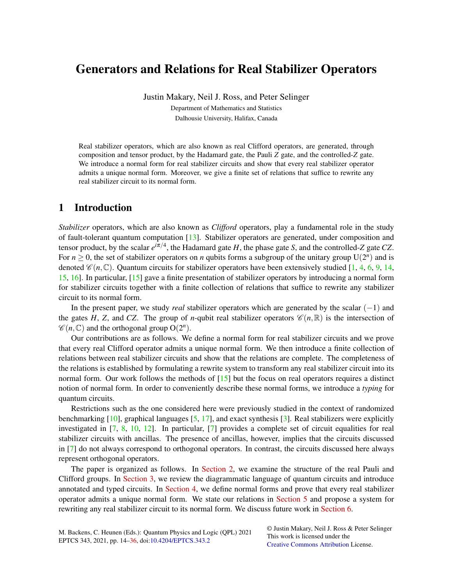# Generators and Relations for Real Stabilizer Operators

Justin Makary, Neil J. Ross, and Peter Selinger Department of Mathematics and Statistics Dalhousie University, Halifax, Canada

Real stabilizer operators, which are also known as real Clifford operators, are generated, through composition and tensor product, by the Hadamard gate, the Pauli *Z* gate, and the controlled-*Z* gate. We introduce a normal form for real stabilizer circuits and show that every real stabilizer operator admits a unique normal form. Moreover, we give a finite set of relations that suffice to rewrite any real stabilizer circuit to its normal form.

# 1 Introduction

*Stabilizer* operators, which are also known as *Clifford* operators, play a fundamental role in the study of fault-tolerant quantum computation [\[13\]](#page-10-0). Stabilizer operators are generated, under composition and tensor product, by the scalar  $e^{i\pi/4}$ , the Hadamard gate *H*, the phase gate *S*, and the controlled-*Z* gate *CZ*. For  $n \geq 0$ , the set of stabilizer operators on *n* qubits forms a subgroup of the unitary group  $U(2^n)$  and is denoted  $\mathscr{C}(n,\mathbb{C})$ . Quantum circuits for stabilizer operators have been extensively studied [\[1,](#page-10-1) [4,](#page-10-2) [6,](#page-10-3) [9,](#page-10-4) [14,](#page-11-0) [15,](#page-11-1) [16\]](#page-11-2). In particular, [\[15\]](#page-11-1) gave a finite presentation of stabilizer operators by introducing a normal form for stabilizer circuits together with a finite collection of relations that suffice to rewrite any stabilizer circuit to its normal form.

In the present paper, we study *real* stabilizer operators which are generated by the scalar (−1) and the gates *H*, *Z*, and *CZ*. The group of *n*-qubit real stabilizer operators  $\mathcal{C}(n,\mathbb{R})$  is the intersection of  $\mathscr{C}(n,\mathbb{C})$  and the orthogonal group  $O(2^n)$ .

Our contributions are as follows. We define a normal form for real stabilizer circuits and we prove that every real Clifford operator admits a unique normal form. We then introduce a finite collection of relations between real stabilizer circuits and show that the relations are complete. The completeness of the relations is established by formulating a rewrite system to transform any real stabilizer circuit into its normal form. Our work follows the methods of [\[15\]](#page-11-1) but the focus on real operators requires a distinct notion of normal form. In order to conveniently describe these normal forms, we introduce a *typing* for quantum circuits.

Restrictions such as the one considered here were previously studied in the context of randomized benchmarking  $[10]$ , graphical languages  $[5, 17]$  $[5, 17]$  $[5, 17]$ , and exact synthesis  $[3]$ . Real stabilizers were explicitly investigated in [\[7,](#page-10-8) [8,](#page-10-9) [10,](#page-10-5) [12\]](#page-10-10). In particular, [\[7\]](#page-10-8) provides a complete set of circuit equalities for real stabilizer circuits with ancillas. The presence of ancillas, however, implies that the circuits discussed in [\[7\]](#page-10-8) do not always correspond to orthogonal operators. In contrast, the circuits discussed here always represent orthogonal operators.

The paper is organized as follows. In [Section 2,](#page-1-0) we examine the structure of the real Pauli and Clifford groups. In [Section 3,](#page-2-0) we review the diagrammatic language of quantum circuits and introduce annotated and typed circuits. In [Section 4,](#page-3-0) we define normal forms and prove that every real stabilizer operator admits a unique normal form. We state our relations in [Section 5](#page-6-0) and propose a system for rewriting any real stabilizer circuit to its normal form. We discuss future work in [Section 6.](#page-10-11)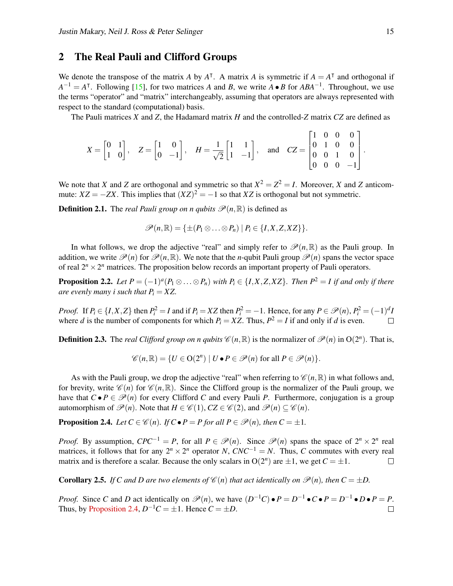### <span id="page-1-0"></span>2 The Real Pauli and Clifford Groups

We denote the transpose of the matrix *A* by  $A^T$ . A matrix *A* is symmetric if  $A = A^T$  and orthogonal if  $A^{-1} = A^{\dagger}$ . Following [\[15\]](#page-11-1), for two matrices *A* and *B*, we write  $\overrightarrow{A} \cdot \overrightarrow{B}$  for  $ABA^{-1}$ . Throughout, we use the terms "operator" and "matrix" interchangeably, assuming that operators are always represented with respect to the standard (computational) basis.

The Pauli matrices *X* and *Z*, the Hadamard matrix *H* and the controlled-*Z* matrix *CZ* are defined as

$$
X = \begin{bmatrix} 0 & 1 \\ 1 & 0 \end{bmatrix}, \quad Z = \begin{bmatrix} 1 & 0 \\ 0 & -1 \end{bmatrix}, \quad H = \frac{1}{\sqrt{2}} \begin{bmatrix} 1 & 1 \\ 1 & -1 \end{bmatrix}, \quad \text{and} \quad CZ = \begin{bmatrix} 1 & 0 & 0 & 0 \\ 0 & 1 & 0 & 0 \\ 0 & 0 & 1 & 0 \\ 0 & 0 & 0 & -1 \end{bmatrix}
$$

We note that *X* and *Z* are orthogonal and symmetric so that  $X^2 = Z^2 = I$ . Moreover, *X* and *Z* anticommute:  $XZ = -ZX$ . This implies that  $(XZ)^2 = -1$  so that *XZ* is orthogonal but not symmetric.

**Definition 2.1.** The *real Pauli group on n qubits*  $\mathcal{P}(n,\mathbb{R})$  is defined as

$$
\mathscr{P}(n,\mathbb{R})=\{\pm(P_1\otimes\ldots\otimes P_n)\mid P_i\in\{I,X,Z,XZ\}\}.
$$

In what follows, we drop the adjective "real" and simply refer to  $\mathcal{P}(n,\mathbb{R})$  as the Pauli group. In addition, we write  $\mathcal{P}(n)$  for  $\mathcal{P}(n,\mathbb{R})$ . We note that the *n*-qubit Pauli group  $\mathcal{P}(n)$  spans the vector space of real  $2^n \times 2^n$  matrices. The proposition below records an important property of Pauli operators.

**Proposition 2.2.** Let  $P = (-1)^a (P_1 \otimes \ldots \otimes P_n)$  with  $P_i \in \{I, X, Z, XZ\}$ . Then  $P^2 = I$  if and only if there *are evenly many i such that*  $P_i = XZ$ .

*Proof.* If  $P_i \in \{I, X, Z\}$  then  $P_i^2 = I$  and if  $P_i = XZ$  then  $P_i^2 = -1$ . Hence, for any  $P \in \mathcal{P}(n)$ ,  $P_i^2 = (-1)^d I$ where *d* is the number of components for which  $P_i = XZ$ . Thus,  $P^2 = I$  if and only if *d* is even.

**Definition 2.3.** The *real Clifford group on n qubits*  $\mathscr{C}(n,\mathbb{R})$  is the normalizer of  $\mathscr{P}(n)$  in  $O(2^n)$ . That is,

$$
\mathscr{C}(n,\mathbb{R})=\{U\in\mathrm{O}(2^n)\mid U\bullet P\in\mathscr{P}(n) \text{ for all } P\in\mathscr{P}(n)\}.
$$

As with the Pauli group, we drop the adjective "real" when referring to  $\mathscr{C}(n,\mathbb{R})$  in what follows and, for brevity, write  $\mathscr{C}(n)$  for  $\mathscr{C}(n,\mathbb{R})$ . Since the Clifford group is the normalizer of the Pauli group, we have that  $C \bullet P \in \mathcal{P}(n)$  for every Clifford *C* and every Pauli *P*. Furthermore, conjugation is a group automorphism of  $\mathcal{P}(n)$ . Note that  $H \in \mathcal{C}(1)$ ,  $CZ \in \mathcal{C}(2)$ , and  $\mathcal{P}(n) \subset \mathcal{C}(n)$ .

<span id="page-1-1"></span>**Proposition 2.4.** *Let*  $C \in \mathcal{C}(n)$ *. If*  $C \cdot P = P$  *for all*  $P \in \mathcal{P}(n)$ *, then*  $C = \pm 1$ *.* 

*Proof.* By assumption,  $CPC^{-1} = P$ , for all  $P \in \mathcal{P}(n)$ . Since  $\mathcal{P}(n)$  spans the space of  $2^n \times 2^n$  real matrices, it follows that for any  $2^n \times 2^n$  operator *N*,  $CNC^{-1} = N$ . Thus, *C* commutes with every real matrix and is therefore a scalar. Because the only scalars in  $O(2^n)$  are  $\pm 1$ , we get  $C = \pm 1$ .  $\Box$ 

**Corollary 2.5.** *If C and D are two elements of*  $\mathscr{C}(n)$  *that act identically on*  $\mathscr{P}(n)$ *, then*  $C = \pm D$ *.* 

*Proof.* Since *C* and *D* act identically on  $\mathcal{P}(n)$ , we have  $(D^{-1}C) \cdot P = D^{-1} \cdot C \cdot P = D^{-1} \cdot D \cdot P = P$ . Thus, by [Proposition 2.4,](#page-1-1)  $D^{-1}C = \pm 1$ . Hence  $C = \pm D$ .  $\Box$ 

.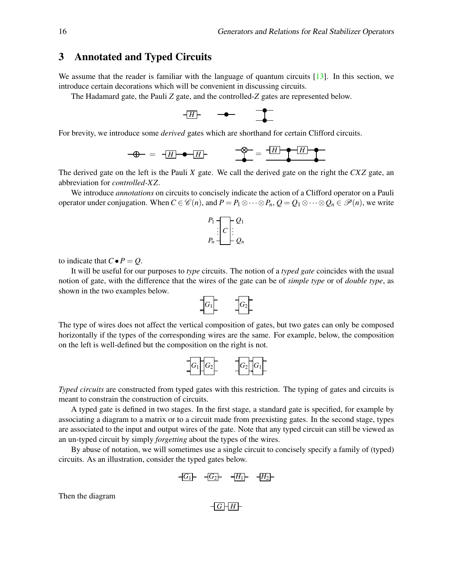### <span id="page-2-0"></span>3 Annotated and Typed Circuits

We assume that the reader is familiar with the language of quantum circuits [\[13\]](#page-10-0). In this section, we introduce certain decorations which will be convenient in discussing circuits.

The Hadamard gate, the Pauli *Z* gate, and the controlled-*Z* gates are represented below.

$$
\overline{H} \qquad \qquad \bullet
$$

For brevity, we introduce some *derived* gates which are shorthand for certain Clifford circuits.

$$
-\bigoplus - = -\overline{H} \qquad \qquad -\bigoplus - = -\frac{\overline{H} \qquad \qquad -\overline{H} \qquad \qquad -\overline{H}}{\longrightarrow}
$$

The derived gate on the left is the Pauli *X* gate. We call the derived gate on the right the *CXZ* gate, an abbreviation for *controlled-XZ*.

We introduce *annotations* on circuits to concisely indicate the action of a Clifford operator on a Pauli operator under conjugation. When  $C \in \mathcal{C}(n)$ , and  $P = P_1 \otimes \cdots \otimes P_n$ ,  $Q = Q_1 \otimes \cdots \otimes Q_n \in \mathcal{P}(n)$ , we write

$$
P_1 - C \vdots Q_1
$$
  

$$
P_n - D_n
$$

to indicate that  $C \bullet P = Q$ .

It will be useful for our purposes to *type* circuits. The notion of a *typed gate* coincides with the usual notion of gate, with the difference that the wires of the gate can be of *simple type* or of *double type*, as shown in the two examples below.



The type of wires does not affect the vertical composition of gates, but two gates can only be composed horizontally if the types of the corresponding wires are the same. For example, below, the composition on the left is well-defined but the composition on the right is not.

$$
G_1 \begin{bmatrix} G_2 \end{bmatrix} = G_2 \begin{bmatrix} G_1 \end{bmatrix}
$$

*Typed circuits* are constructed from typed gates with this restriction. The typing of gates and circuits is meant to constrain the construction of circuits.

A typed gate is defined in two stages. In the first stage, a standard gate is specified, for example by associating a diagram to a matrix or to a circuit made from preexisting gates. In the second stage, types are associated to the input and output wires of the gate. Note that any typed circuit can still be viewed as an un-typed circuit by simply *forgetting* about the types of the wires.

By abuse of notation, we will sometimes use a single circuit to concisely specify a family of (typed) circuits. As an illustration, consider the typed gates below.

$$
-\boxed{G_1} \qquad -\boxed{G_2} = -\boxed{H_1} \qquad -\boxed{H_2}
$$

Then the diagram

 $-$ *G*  $+$ *H*  $-$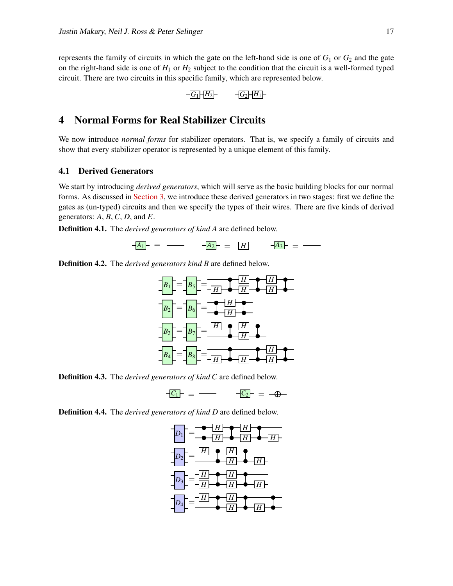represents the family of circuits in which the gate on the left-hand side is one of  $G_1$  or  $G_2$  and the gate on the right-hand side is one of  $H_1$  or  $H_2$  subject to the condition that the circuit is a well-formed typed circuit. There are two circuits in this specific family, which are represented below.

$$
-G_1H_2 - G_2H_1
$$

# <span id="page-3-0"></span>4 Normal Forms for Real Stabilizer Circuits

We now introduce *normal forms* for stabilizer operators. That is, we specify a family of circuits and show that every stabilizer operator is represented by a unique element of this family.

#### 4.1 Derived Generators

We start by introducing *derived generators*, which will serve as the basic building blocks for our normal forms. As discussed in [Section 3,](#page-2-0) we introduce these derived generators in two stages: first we define the gates as (un-typed) circuits and then we specify the types of their wires. There are five kinds of derived generators: *A*, *B*, *C*, *D*, and *E*.

Definition 4.1. The *derived generators of kind A* are defined below.

$$
-\underline{A_1} = \underline{\hspace{1cm}} - \underline{A_2} = -\underline{H} - \underline{A_3} = \underline{\hspace{1cm}} - \underline{\hspace{1cm}}
$$

Definition 4.2. The *derived generators kind B* are defined below.



Definition 4.3. The *derived generators of kind C* are defined below.

$$
-\underline{C_1} = - \qquad -\underline{C_2} = - \oplus -
$$

Definition 4.4. The *derived generators of kind D* are defined below.

$$
D_1 = \frac{H}{\sqrt{H}} \leftarrow H
$$
\n
$$
D_2 = \frac{H}{\sqrt{H}} \leftarrow H
$$
\n
$$
D_3 = \frac{H}{\sqrt{H}} \leftarrow H
$$
\n
$$
D_4 = \frac{H}{\sqrt{H}} \leftarrow H
$$
\n
$$
D_5 = \frac{H}{\sqrt{H}} \leftarrow H
$$
\n
$$
D_6 = \frac{H}{\sqrt{H}} \leftarrow H
$$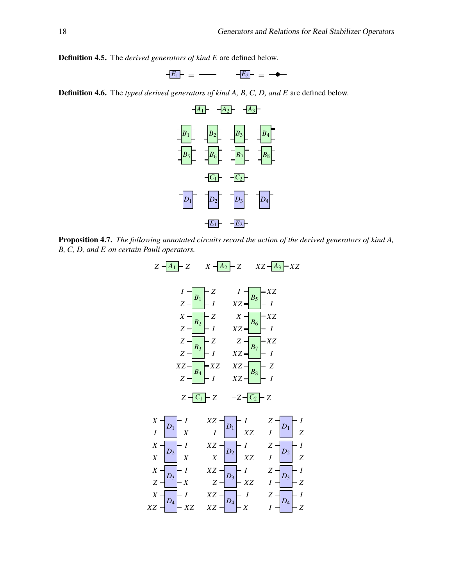Definition 4.5. The *derived generators of kind E* are defined below.



Definition 4.6. The *typed derived generators of kind A, B, C, D, and E* are defined below.



Proposition 4.7. *The following annotated circuits record the action of the derived generators of kind A, B, C, D, and E on certain Pauli operators.*

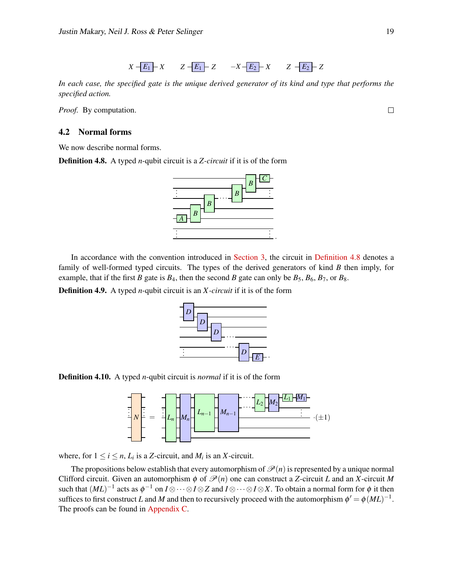$$
X - E_1 - X \qquad Z - E_1 - Z \qquad -X - E_2 - X \qquad Z - E_2 - Z
$$

*In each case, the specified gate is the unique derived generator of its kind and type that performs the specified action.*

*Proof.* By computation.

#### 4.2 Normal forms

<span id="page-5-0"></span>We now describe normal forms.

Definition 4.8. A typed *n*-qubit circuit is a *Z-circuit* if it is of the form

In accordance with the convention introduced in [Section 3,](#page-2-0) the circuit in [Definition 4.8](#page-5-0) denotes a family of well-formed typed circuits. The types of the derived generators of kind *B* then imply, for example, that if the first *B* gate is  $B_4$ , then the second *B* gate can only be  $B_5$ ,  $B_6$ ,  $B_7$ , or  $B_8$ .

Definition 4.9. A typed *n*-qubit circuit is an *X -circuit* if it is of the form



. .

··· .



= . . .

. .

. . . *N*

The propositions below establish that every automorphism of  $\mathcal{P}(n)$  is represented by a unique normal Clifford circuit. Given an automorphism  $\phi$  of  $\mathcal{P}(n)$  one can construct a *Z*-circuit *L* and an *X*-circuit *M* such that  $(ML)^{-1}$  acts as  $\phi^{-1}$  on  $I\otimes\cdots\otimes I\otimes Z$  and  $I\otimes\cdots\otimes I\otimes X.$  To obtain a normal form for  $\phi$  it then suffices to first construct *L* and *M* and then to recursively proceed with the automorphism  $\phi' = \phi(ML)^{-1}$ . The proofs can be found in [Appendix C.](#page-19-0)

*Ln*−<sup>1</sup> *Mn*−<sup>1</sup>



.

 $L_2|M_2$ 

. . .

 $L_1$  – $M_1$ 

*E*

*D*

···

 $L_n$   $\left|\frac{M_n}{M_n}\right|^{L_{n-1}}$   $\left|\frac{M_{n-1}}{M_n}\right|^{L_{n-1}}$ 

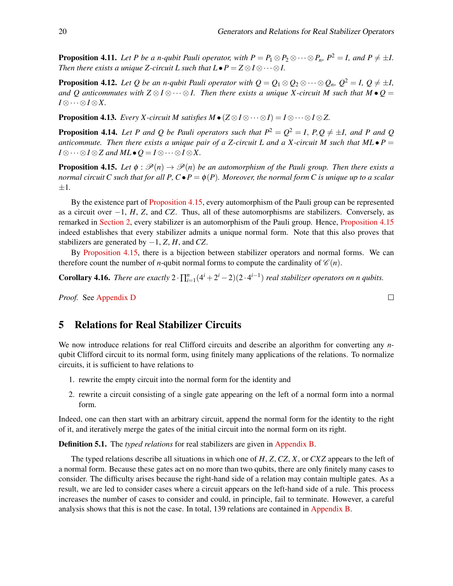**Proposition 4.11.** *Let P be a n-qubit Pauli operator, with*  $P = P_1 \otimes P_2 \otimes \cdots \otimes P_n$ ,  $P^2 = I$ *, and*  $P \neq \pm I$ . *Then there exists a unique Z-circuit L such that*  $L \bullet P = Z \otimes I \otimes \cdots \otimes I$ *.* 

**Proposition 4.12.** *Let Q be an n-qubit Pauli operator with*  $Q = Q_1 \otimes Q_2 \otimes \cdots \otimes Q_n$ ,  $Q^2 = I$ ,  $Q \neq \pm I$ , *and Q anticommutes with*  $Z \otimes I \otimes \cdots \otimes I$ . Then there exists a unique X-circuit M such that M •  $Q =$ *I* ⊗··· ⊗*I* ⊗*X.*

**Proposition 4.13.** *Every X-circuit M satisfies M*  $\bullet$  ( $Z \otimes I \otimes \cdots \otimes I$ ) =  $I \otimes \cdots \otimes I \otimes Z$ .

**Proposition 4.14.** Let P and Q be Pauli operators such that  $P^2 = Q^2 = I$ ,  $P, Q \neq \pm I$ , and P and Q *anticommute. Then there exists a unique pair of a Z-circuit L and a X-circuit M such that ML* $\bullet$  *P* = *I* ⊗  $\cdots$  ⊗ *I* ⊗ *Z* and *ML*  $\bullet$  *Q* = *I* ⊗  $\cdots$  ⊗ *I* ⊗ *X*.

<span id="page-6-1"></span>**Proposition 4.15.** Let  $\phi : \mathcal{P}(n) \to \mathcal{P}(n)$  be an automorphism of the Pauli group. Then there exists a *normal circuit C such that for all P, C*• $P = \phi(P)$ *. Moreover, the normal form C is unique up to a scalar* ±1*.*

By the existence part of [Proposition 4.15,](#page-6-1) every automorphism of the Pauli group can be represented as a circuit over −1, *H*, *Z*, and *CZ*. Thus, all of these automorphisms are stabilizers. Conversely, as remarked in [Section 2,](#page-1-0) every stabilizer is an automorphism of the Pauli group. Hence, [Proposition 4.15](#page-6-1) indeed establishes that every stabilizer admits a unique normal form. Note that this also proves that stabilizers are generated by −1, *Z*, *H*, and *CZ*.

By [Proposition 4.15,](#page-6-1) there is a bijection between stabilizer operators and normal forms. We can therefore count the number of *n*-qubit normal forms to compute the cardinality of  $\mathcal{C}(n)$ .

**Corollary 4.16.** *There are exactly*  $2 \cdot \prod_{i=1}^{n} (4^{i} + 2^{i} - 2)(2 \cdot 4^{i-1})$  *real stabilizer operators on n qubits.* 

*Proof.* See [Appendix D](#page-22-1)

## <span id="page-6-0"></span>5 Relations for Real Stabilizer Circuits

We now introduce relations for real Clifford circuits and describe an algorithm for converting any *n*qubit Clifford circuit to its normal form, using finitely many applications of the relations. To normalize circuits, it is sufficient to have relations to

- 1. rewrite the empty circuit into the normal form for the identity and
- 2. rewrite a circuit consisting of a single gate appearing on the left of a normal form into a normal form.

Indeed, one can then start with an arbitrary circuit, append the normal form for the identity to the right of it, and iteratively merge the gates of the initial circuit into the normal form on its right.

<span id="page-6-2"></span>Definition 5.1. The *typed relations* for real stabilizers are given in [Appendix B.](#page-12-0)

The typed relations describe all situations in which one of *H*, *Z*, *CZ*, *X*, or *CXZ* appears to the left of a normal form. Because these gates act on no more than two qubits, there are only finitely many cases to consider. The difficulty arises because the right-hand side of a relation may contain multiple gates. As a result, we are led to consider cases where a circuit appears on the left-hand side of a rule. This process increases the number of cases to consider and could, in principle, fail to terminate. However, a careful analysis shows that this is not the case. In total, 139 relations are contained in [Appendix B.](#page-12-0)

 $\Box$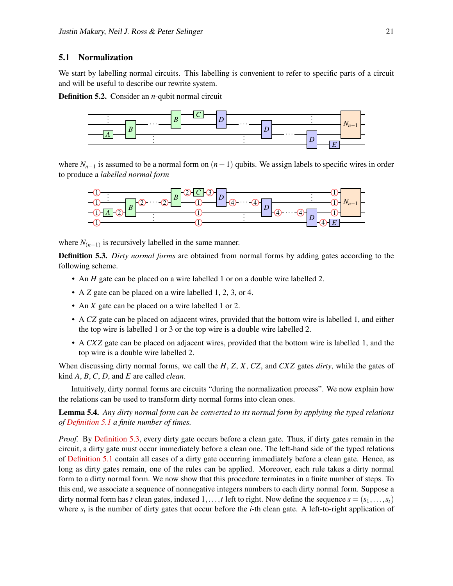#### 5.1 Normalization

We start by labelling normal circuits. This labelling is convenient to refer to specific parts of a circuit and will be useful to describe our rewrite system.

**Definition 5.2.** Consider an *n*-qubit normal circuit



where  $N_{n-1}$  is assumed to be a normal form on  $(n-1)$  qubits. We assign labels to specific wires in order to produce a *labelled normal form*



where  $N_{(n-1)}$  is recursively labelled in the same manner.

<span id="page-7-0"></span>**Definition 5.3.** *Dirty normal forms* are obtained from normal forms by adding gates according to the following scheme.

- An *H* gate can be placed on a wire labelled 1 or on a double wire labelled 2.
- A *Z* gate can be placed on a wire labelled 1, 2, 3, or 4.
- An *X* gate can be placed on a wire labelled 1 or 2.
- A *CZ* gate can be placed on adjacent wires, provided that the bottom wire is labelled 1, and either the top wire is labelled 1 or 3 or the top wire is a double wire labelled 2.
- A *CXZ* gate can be placed on adjacent wires, provided that the bottom wire is labelled 1, and the top wire is a double wire labelled 2.

When discussing dirty normal forms, we call the *H*, *Z*, *X*, *CZ*, and *CXZ* gates *dirty*, while the gates of kind *A*, *B*, *C*, *D*, and *E* are called *clean*.

Intuitively, dirty normal forms are circuits "during the normalization process". We now explain how the relations can be used to transform dirty normal forms into clean ones.

<span id="page-7-1"></span>Lemma 5.4. *Any dirty normal form can be converted to its normal form by applying the typed relations of [Definition 5.1](#page-6-2) a finite number of times.*

*Proof.* By [Definition 5.3,](#page-7-0) every dirty gate occurs before a clean gate. Thus, if dirty gates remain in the circuit, a dirty gate must occur immediately before a clean one. The left-hand side of the typed relations of [Definition 5.1](#page-6-2) contain all cases of a dirty gate occurring immediately before a clean gate. Hence, as long as dirty gates remain, one of the rules can be applied. Moreover, each rule takes a dirty normal form to a dirty normal form. We now show that this procedure terminates in a finite number of steps. To this end, we associate a sequence of nonnegative integers numbers to each dirty normal form. Suppose a dirty normal form has *t* clean gates, indexed 1,...,*t* left to right. Now define the sequence  $s = (s_1, \ldots, s_t)$ where  $s_i$  is the number of dirty gates that occur before the *i*-th clean gate. A left-to-right application of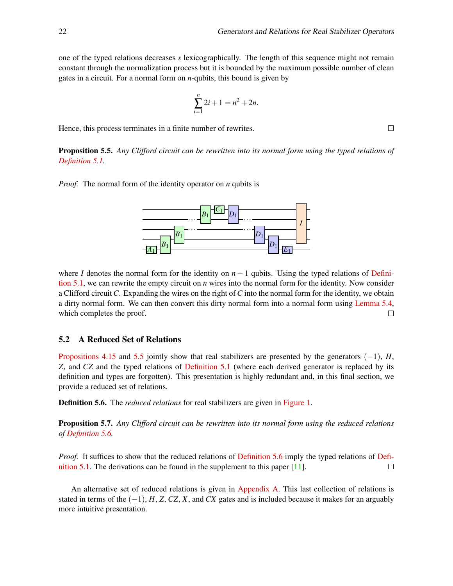one of the typed relations decreases *s* lexicographically. The length of this sequence might not remain constant through the normalization process but it is bounded by the maximum possible number of clean gates in a circuit. For a normal form on *n*-qubits, this bound is given by

$$
\sum_{i=1}^{n} 2i + 1 = n^2 + 2n.
$$

Hence, this process terminates in a finite number of rewrites.

<span id="page-8-0"></span>Proposition 5.5. *Any Clifford circuit can be rewritten into its normal form using the typed relations of [Definition 5.1.](#page-6-2)*

*Proof.* The normal form of the identity operator on *n* qubits is



where *I* denotes the normal form for the identity on  $n - 1$  qubits. Using the typed relations of [Defini](#page-6-2)[tion 5.1,](#page-6-2) we can rewrite the empty circuit on *n* wires into the normal form for the identity. Now consider a Clifford circuit*C*. Expanding the wires on the right of*C* into the normal form for the identity, we obtain a dirty normal form. We can then convert this dirty normal form into a normal form using [Lemma 5.4,](#page-7-1) which completes the proof.  $\Box$ 

#### 5.2 A Reduced Set of Relations

[Propositions 4.15](#page-6-1) and [5.5](#page-8-0) jointly show that real stabilizers are presented by the generators  $(-1)$ , *H*, *Z*, and *CZ* and the typed relations of [Definition 5.1](#page-6-2) (where each derived generator is replaced by its definition and types are forgotten). This presentation is highly redundant and, in this final section, we provide a reduced set of relations.

<span id="page-8-1"></span>Definition 5.6. The *reduced relations* for real stabilizers are given in [Figure 1.](#page-9-0)

Proposition 5.7. *Any Clifford circuit can be rewritten into its normal form using the reduced relations of [Definition 5.6.](#page-8-1)*

*Proof.* It suffices to show that the reduced relations of [Definition 5.6](#page-8-1) imply the typed relations of [Defi](#page-6-2)[nition 5.1.](#page-6-2) The derivations can be found in the supplement to this paper [\[11\]](#page-10-12).  $\Box$ 

An alternative set of reduced relations is given in [Appendix A.](#page-11-4) This last collection of relations is stated in terms of the  $(-1)$ , *H*, *Z*, *CZ*, *X*, and *CX* gates and is included because it makes for an arguably more intuitive presentation.

 $\Box$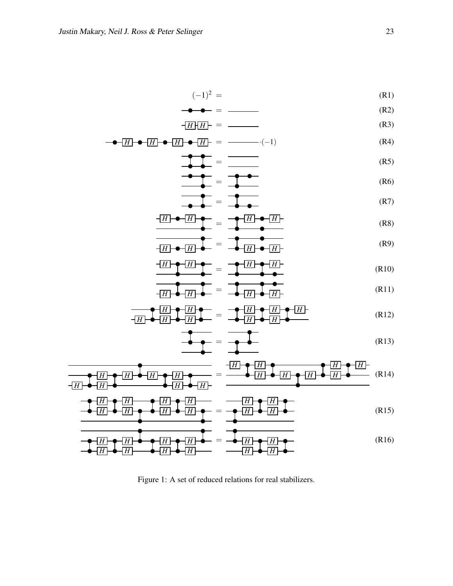$\overline{\phantom{0}}$ 

$$
(-1)^2 = \qquad (R1)
$$

$$
\bullet \bullet = \_\_\_\_\_\_ \tag{R2}
$$

$$
-\overline{H}|\overline{H}\rangle = \qquad (R3)
$$

$$
\bullet \boxed{H} \bullet \boxed{H} \bullet \boxed{H} \bullet \boxed{H} \bullet \boxed{H} = \boxed{\text{---}} \cdot (-1) \tag{R4}
$$

$$
\frac{1}{1000} = \frac{1}{1000} \tag{R5}
$$

$$
\mathbf{R}(6)
$$

$$
\overline{AB} = \overline{AB} = \overline{AB} \tag{R7}
$$

$$
\frac{+H \rightarrow H}{-} = \frac{H \rightarrow H}{-}
$$
 (R8)

$$
\frac{1}{\sqrt{H}} \cdot \frac{1}{\sqrt{H}} = \frac{1}{\sqrt{H}} \cdot \frac{1}{\sqrt{H}} \tag{R9}
$$

$$
\frac{H}{H} = \frac{H}{H}
$$
 (R10)

$$
\frac{1}{\sqrt{H}} = \frac{1}{\sqrt{H}} = \frac{1}{\sqrt{H}} \frac{1}{\sqrt{H}} \tag{R11}
$$

$$
\frac{H}{H} \bullet \frac{H}{H} \bullet \frac{H}{H} \bullet \frac{H}{H} \bullet \frac{H}{H} \bullet \frac{H}{H} \bullet \frac{H}{H} \bullet \frac{H}{H} \bullet \frac{H}{H} \bullet \frac{H}{H} \bullet \frac{H}{H} \bullet \frac{H}{H} \bullet \frac{H}{H} \bullet \frac{H}{H} \bullet \frac{H}{H} \bullet \frac{H}{H} \bullet \frac{H}{H} \bullet \frac{H}{H} \bullet \frac{H}{H} \bullet \frac{H}{H} \bullet \frac{H}{H} \bullet \frac{H}{H} \bullet \frac{H}{H} \bullet \frac{H}{H} \bullet \frac{H}{H} \bullet \frac{H}{H} \bullet \frac{H}{H} \bullet \frac{H}{H} \bullet \frac{H}{H} \bullet \frac{H}{H} \bullet \frac{H}{H} \bullet \frac{H}{H} \bullet \frac{H}{H} \bullet \frac{H}{H} \bullet \frac{H}{H} \bullet \frac{H}{H} \bullet \frac{H}{H} \bullet \frac{H}{H} \bullet \frac{H}{H} \bullet \frac{H}{H} \bullet \frac{H}{H} \bullet \frac{H}{H} \bullet \frac{H}{H} \bullet \frac{H}{H} \bullet \frac{H}{H} \bullet \frac{H}{H} \bullet \frac{H}{H} \bullet \frac{H}{H} \bullet \frac{H}{H} \bullet \frac{H}{H} \bullet \frac{H}{H} \bullet \frac{H}{H} \bullet \frac{H}{H} \bullet \frac{H}{H} \bullet \frac{H}{H} \bullet \frac{H}{H} \bullet \frac{H}{H} \bullet \frac{H}{H} \bullet \frac{H}{H} \bullet \frac{H}{H} \bullet \frac{H}{H} \bullet \frac{H}{H} \bullet \frac{H}{H} \bullet \frac{H}{H} \bullet \frac{H}{H} \bullet \frac{H}{H} \bullet \frac{H}{H} \bullet \frac{H}{H} \bullet \frac{H}{H} \bullet \frac{H}{H} \bullet \frac{H}{H} \bullet \frac{H}{H} \bullet \frac{H}{H} \bullet \frac{H}{H} \bullet \frac{H}{H} \bullet \frac{H}{H} \bullet \frac{H}{H} \bullet \frac{H}{H} \bullet \frac{H}{H} \bullet \frac{H}{H} \bullet \frac{H}{H} \bullet \frac{H}{H} \bullet \frac{H}{H} \bullet \frac{H}{H} \bullet \frac{H
$$

$$
\begin{array}{|c|c|c|c|c|}\n\hline\n\hline\n\end{array} = \begin{array}{|c|c|c|}\n\hline\n\end{array} \qquad (R13)
$$

*H H H H H H H H* = *H H H H H H H H* (R14)

$$
\begin{array}{c}\n\bullet \boxed{H} \bullet \boxed{H} \rightarrow \bullet \boxed{H} \rightarrow \boxed{H} \rightarrow \boxed{H} \rightarrow \boxed{H} \rightarrow \boxed{H} \rightarrow \boxed{H} \rightarrow \boxed{H} \rightarrow \boxed{H} \rightarrow \boxed{H} \rightarrow \boxed{H} \rightarrow \boxed{H} \rightarrow \boxed{H} \rightarrow \boxed{H} \rightarrow \boxed{H} \rightarrow \boxed{H} \rightarrow \boxed{H} \rightarrow \boxed{H} \rightarrow \boxed{H} \rightarrow \boxed{H} \rightarrow \boxed{H} \rightarrow \boxed{H} \rightarrow \boxed{H} \rightarrow \boxed{H} \rightarrow \boxed{H} \rightarrow \boxed{H} \rightarrow \boxed{H} \rightarrow \boxed{H} \rightarrow \boxed{H} \rightarrow \boxed{H} \rightarrow \boxed{H} \rightarrow \boxed{H} \rightarrow \boxed{H} \rightarrow \boxed{H} \rightarrow \boxed{H} \rightarrow \boxed{H} \rightarrow \boxed{H} \rightarrow \boxed{H} \rightarrow \boxed{H} \rightarrow \boxed{H} \rightarrow \boxed{H} \rightarrow \boxed{H} \rightarrow \boxed{H} \rightarrow \boxed{H} \rightarrow \boxed{H} \rightarrow \boxed{H} \rightarrow \boxed{H} \rightarrow \boxed{H} \rightarrow \boxed{H} \rightarrow \boxed{H} \rightarrow \boxed{H} \rightarrow \boxed{H} \rightarrow \boxed{H} \rightarrow \boxed{H} \rightarrow \boxed{H} \rightarrow \boxed{H} \rightarrow \boxed{H} \rightarrow \boxed{H} \rightarrow \boxed{H} \rightarrow \boxed{H} \rightarrow \boxed{H} \rightarrow \boxed{H} \rightarrow \boxed{H} \rightarrow \boxed{H} \rightarrow \boxed{H} \rightarrow \boxed{H} \rightarrow \boxed{H} \rightarrow \boxed{H} \rightarrow \boxed{H} \rightarrow \boxed{H} \rightarrow \boxed{H} \rightarrow \boxed{H} \rightarrow \boxed{H} \rightarrow \boxed{H} \rightarrow \boxed{H} \rightarrow \boxed{H} \rightarrow \boxed{H} \rightarrow \boxed{H} \rightarrow \boxed{H} \rightarrow \boxed{H} \rightarrow \boxed{H} \rightarrow \boxed{H} \rightarrow \boxed{H} \rightarrow \boxed{H} \rightarrow \boxed{H} \rightarrow \boxed{H} \rightarrow \boxed{H} \rightarrow \boxed{H} \rightarrow \boxed{H} \rightarrow \boxed{H} \rightarrow \boxed{H} \rightarrow \boxed{H} \rightarrow \boxed{H} \rightarrow \boxed{H} \rightarrow \boxed{H} \rightarrow \boxed{H} \rightarrow \boxed{H} \rightarrow \boxed{H} \rightarrow \boxed{H} \rightarrow \boxed{H} \rightarrow \boxed{H} \rightarrow \boxed{H} \rightarrow \boxed{H} \rightarrow \boxed{H} \rightarrow \boxed{H} \rightarrow \boxed{H} \
$$

<span id="page-9-0"></span>*H H H H H H H H* = *H H H H* (R16)

Figure 1: A set of reduced relations for real stabilizers.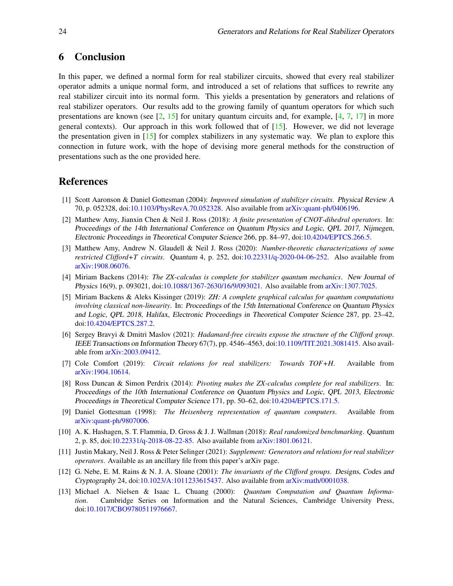## <span id="page-10-11"></span>6 Conclusion

In this paper, we defined a normal form for real stabilizer circuits, showed that every real stabilizer operator admits a unique normal form, and introduced a set of relations that suffices to rewrite any real stabilizer circuit into its normal form. This yields a presentation by generators and relations of real stabilizer operators. Our results add to the growing family of quantum operators for which such presentations are known (see  $\lbrack 2, 15 \rbrack$  for unitary quantum circuits and, for example,  $\lbrack 4, 7, 17 \rbrack$  $\lbrack 4, 7, 17 \rbrack$  $\lbrack 4, 7, 17 \rbrack$  in more general contexts). Our approach in this work followed that of  $[15]$ . However, we did not leverage the presentation given in [\[15\]](#page-11-1) for complex stabilizers in any systematic way. We plan to explore this connection in future work, with the hope of devising more general methods for the construction of presentations such as the one provided here.

# References

- <span id="page-10-1"></span>[1] Scott Aaronson & Daniel Gottesman (2004): *Improved simulation of stabilizer circuits*. Physical Review A 70, p. 052328, doi[:10.1103/PhysRevA.70.052328.](http://dx.doi.org/10.1103/PhysRevA.70.052328) Also available from [arXiv:quant-ph/0406196.](http://arxiv.org/abs/quant-ph/0406196)
- <span id="page-10-13"></span>[2] Matthew Amy, Jianxin Chen & Neil J. Ross (2018): *A finite presentation of CNOT-dihedral operators*. In: Proceedings of the 14th International Conference on Quantum Physics and Logic, QPL 2017, Nijmegen, Electronic Proceedings in Theoretical Computer Science 266, pp. 84–97, doi[:10.4204/EPTCS.266.5.](http://dx.doi.org/10.4204/EPTCS.266.5)
- <span id="page-10-7"></span>[3] Matthew Amy, Andrew N. Glaudell & Neil J. Ross (2020): *Number-theoretic characterizations of some restricted Clifford+T circuits*. Quantum 4, p. 252, doi[:10.22331/q-2020-04-06-252.](http://dx.doi.org/10.22331/q-2020-04-06-252) Also available from [arXiv:1908.06076.](http://arxiv.org/abs/1908.06076)
- <span id="page-10-2"></span>[4] Miriam Backens (2014): *The ZX-calculus is complete for stabilizer quantum mechanics*. New Journal of Physics 16(9), p. 093021, doi[:10.1088/1367-2630/16/9/093021.](http://dx.doi.org/10.1088/1367-2630/16/9/093021) Also available from [arXiv:1307.7025.](http://arxiv.org/abs/1307.7025)
- <span id="page-10-6"></span>[5] Miriam Backens & Aleks Kissinger (2019): *ZH: A complete graphical calculus for quantum computations involving classical non-linearity*. In: Proceedings of the 15th International Conference on Quantum Physics and Logic, QPL 2018, Halifax, Electronic Proceedings in Theoretical Computer Science 287, pp. 23–42, doi[:10.4204/EPTCS.287.2.](http://dx.doi.org/10.4204/EPTCS.287.2)
- <span id="page-10-3"></span>[6] Sergey Bravyi & Dmitri Maslov (2021): *Hadamard-free circuits expose the structure of the Clifford group*. IEEE Transactions on Information Theory 67(7), pp. 4546–4563, doi[:10.1109/TIT.2021.3081415.](http://dx.doi.org/10.1109/TIT.2021.3081415) Also available from [arXiv:2003.09412.](http://arxiv.org/abs/2003.09412)
- <span id="page-10-8"></span>[7] Cole Comfort (2019): *Circuit relations for real stabilizers: Towards TOF+H*. Available from [arXiv:1904.10614.](http://arxiv.org/abs/1904.10614)
- <span id="page-10-9"></span>[8] Ross Duncan & Simon Perdrix (2014): *Pivoting makes the ZX-calculus complete for real stabilizers*. In: Proceedings of the 10th International Conference on Quantum Physics and Logic, QPL 2013, Electronic Proceedings in Theoretical Computer Science 171, pp. 50–62, doi[:10.4204/EPTCS.171.5.](http://dx.doi.org/10.4204/EPTCS.171.5)
- <span id="page-10-4"></span>[9] Daniel Gottesman (1998): *The Heisenberg representation of quantum computers*. Available from [arXiv:quant-ph/9807006.](http://arxiv.org/abs/quant-ph/9807006)
- <span id="page-10-5"></span>[10] A. K. Hashagen, S. T. Flammia, D. Gross & J. J. Wallman (2018): *Real randomized benchmarking*. Quantum 2, p. 85, doi[:10.22331/q-2018-08-22-85.](http://dx.doi.org/10.22331/q-2018-08-22-85) Also available from [arXiv:1801.06121.](http://arxiv.org/abs/1801.06121)
- <span id="page-10-12"></span>[11] Justin Makary, Neil J. Ross & Peter Selinger (2021): *Supplement: Generators and relations for real stabilizer operators*. Available as an ancillary file from this paper's arXiv page.
- <span id="page-10-10"></span>[12] G. Nebe, E. M. Rains & N. J. A. Sloane (2001): *The invariants of the Clifford groups*. Designs, Codes and Cryptography 24, doi[:10.1023/A:1011233615437.](http://dx.doi.org/10.1023/A:1011233615437) Also available from [arXiv:math/0001038.](http://arxiv.org/abs/math/0001038)
- <span id="page-10-0"></span>[13] Michael A. Nielsen & Isaac L. Chuang (2000): *Quantum Computation and Quantum Information*. Cambridge Series on Information and the Natural Sciences, Cambridge University Press, doi[:10.1017/CBO9780511976667.](http://dx.doi.org/10.1017/CBO9780511976667)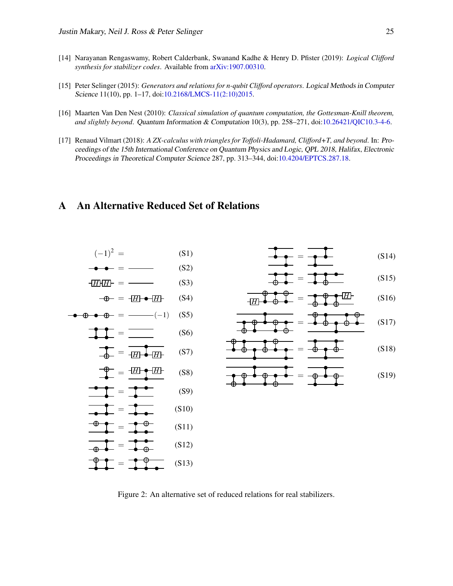- <span id="page-11-0"></span>[14] Narayanan Rengaswamy, Robert Calderbank, Swanand Kadhe & Henry D. Pfister (2019): *Logical Clifford synthesis for stabilizer codes*. Available from [arXiv:1907.00310.](http://arxiv.org/abs/1907.00310)
- <span id="page-11-1"></span>[15] Peter Selinger (2015): *Generators and relations for n-qubit Clifford operators*. Logical Methods in Computer Science 11(10), pp. 1–17, doi[:10.2168/LMCS-11\(2:10\)2015.](http://dx.doi.org/10.2168/LMCS-11(2:10)2015)
- <span id="page-11-2"></span>[16] Maarten Van Den Nest (2010): *Classical simulation of quantum computation, the Gottesman-Knill theorem, and slightly beyond*. Quantum Information & Computation 10(3), pp. 258–271, doi[:10.26421/QIC10.3-4-6.](http://dx.doi.org/10.26421/QIC10.3-4-6)
- <span id="page-11-3"></span>[17] Renaud Vilmart (2018): *A ZX-calculus with triangles for Toffoli-Hadamard, Clifford+T, and beyond*. In: Proceedings of the 15th International Conference on Quantum Physics and Logic, QPL 2018, Halifax, Electronic Proceedings in Theoretical Computer Science 287, pp. 313–344, doi[:10.4204/EPTCS.287.18.](http://dx.doi.org/10.4204/EPTCS.287.18)

## <span id="page-11-4"></span>A An Alternative Reduced Set of Relations



$$
\frac{1}{\sqrt{1-\frac{1}{\sqrt{1-\frac{1}{\sqrt{1-\frac{1}{\sqrt{1-\frac{1}{\sqrt{1-\frac{1}{\sqrt{1-\frac{1}{\sqrt{1-\frac{1}{\sqrt{1-\frac{1}{\sqrt{1-\frac{1}{\sqrt{1-\frac{1}{\sqrt{1-\frac{1}{\sqrt{1-\frac{1}{\sqrt{1-\frac{1}{\sqrt{1-\frac{1}{\sqrt{1-\frac{1}{\sqrt{1-\frac{1}{\sqrt{1-\frac{1}{\sqrt{1-\frac{1}{\sqrt{1-\frac{1}{\sqrt{1-\frac{1}{\sqrt{1-\frac{1}{\sqrt{1-\frac{1}{\sqrt{1-\frac{1}{\sqrt{1-\frac{1}{\sqrt{1-\frac{1}{\sqrt{1-\frac{1}{\sqrt{1-\frac{1}{\sqrt{1-\frac{1}{\sqrt{1-\frac{1}{\sqrt{1-\frac{1}{\sqrt{1-\frac{1}{\sqrt{1-\frac{1}{\sqrt{1-\frac{1}{\sqrt{1-\frac{1}{\sqrt{1-\frac{1}{\sqrt{1-\frac{1}{\sqrt{1-\frac{1}{\sqrt{1-\frac{1}{\sqrt{1-\frac{1}{\sqrt{1-\frac{1}{1-\frac{1}{\sqrt{1-\frac{1}{\sqrt{1-\frac{1}{\sqrt{1-\frac{1}{\sqrt{1-\frac{1}{\sqrt{1-\frac{1}{\sqrt{1-\frac{1}{\sqrt{1-\frac{1}{\sqrt{1-\frac{1}{\sqrt{1-\frac{1}{\sqrt{1-\frac{1}{\sqrt{1-\frac{1}{\sqrt{1-\frac{1}{\sqrt{1-\frac{1}{\sqrt{1-\frac{1}{\sqrt{1-\frac{1}{\sqrt{1-\frac{1}{\sqrt{1-\frac{1}{\sqrt{1-\frac{1}{\sqrt{1-\frac{1}{\sqrt{1-\frac{1}{\sqrt{1-\frac{1}{\sqrt{1-\frac{1}{\sqrt{1-\frac{1}{\sqrt{1-\frac{1}{\sqrt{1-\frac{1}{\sqrt{1-\frac{1}{\sqrt{1+\frac{1}{1\sqrt{1 - \frac{1}{\sqrt{1+\frac{1}{1\sqrt{1+\frac{1}{1\sqrt{1+\frac{1}{1\sqrt{1+\frac{1}{1\sqrt{11\{1\sqrt{11\{1\sqrt{11\{1\frac{1}{\sqrt{11\sqrt{11\{1\frac{1\{1\sqrt{11\{1\sqrt{11\{11\{1\sqrt{11\{1\sqrt{11\{1\{1\frac{1\{1
$$

$$
\frac{1}{\Phi} = \frac{1}{\Phi} \frac{1}{\Phi} \tag{S15}
$$

$$
\frac{\Psi}{\sqrt{H}} = \frac{\Phi}{\Phi} \frac{\Psi}{\Phi} = \frac{\Phi}{\Phi} \frac{\Psi}{\Phi} \tag{S16}
$$

$$
\frac{\text{or} \quad \text{or} \quad \text{or} \quad \text{or} \quad \text{or} \quad \text{or} \quad \text{or} \quad \text{or} \quad \text{or} \quad \text{or} \quad \text{or} \quad \text{or} \quad \text{or} \quad \text{or} \quad \text{or} \quad \text{or} \quad \text{or} \quad \text{or} \quad \text{or} \quad \text{or} \quad \text{or} \quad \text{or} \quad \text{or} \quad \text{or} \quad \text{or} \quad \text{or} \quad \text{or} \quad \text{or} \quad \text{or} \quad \text{or} \quad \text{or} \quad \text{or} \quad \text{or} \quad \text{or} \quad \text{or} \quad \text{or} \quad \text{or} \quad \text{or} \quad \text{or} \quad \text{or} \quad \text{or} \quad \text{or} \quad \text{or} \quad \text{or} \quad \text{or} \quad \text{or} \quad \text{or} \quad \text{or} \quad \text{or} \quad \text{or} \quad \text{or} \quad \text{or} \quad \text{or} \quad \text{or} \quad \text{or} \quad \text{or} \quad \text{or} \quad \text{or} \quad \text{or} \quad \text{or} \quad \text{or} \quad \text{or} \quad \text{or} \quad \text{or} \quad \text{or} \quad \text{or} \quad \text{or} \quad \text{or} \quad \text{or} \quad \text{or} \quad \text{or} \quad \text{or} \quad \text{or} \quad \text{or} \quad \text{or} \quad \text{or} \quad \text{or} \quad \text{or} \quad \text{or} \quad \text{or} \quad \text{or} \quad \text{or} \quad \text{or} \quad \text{or} \quad \text{or} \quad \text{or} \quad \text{or} \quad \text{or} \quad \text{or} \quad \text{or} \quad \text{or} \quad \text{or} \quad \text{or} \quad \text{or} \quad \text{or} \quad \text{or} \quad \text{or} \quad \text{or} \quad \text{or} \quad \text{or} \quad \text{or} \quad \text{or} \quad \text{or} \quad \text{or} \quad \text{or} \quad \text{or} \quad \text{or} \quad \text{or} \quad \text
$$

$$
\frac{\uparrow \uparrow \uparrow \uparrow \uparrow \uparrow}{\uparrow \uparrow \uparrow \uparrow \uparrow \uparrow} = \frac{\uparrow \uparrow \uparrow}{\uparrow \uparrow \uparrow \uparrow}
$$
 (S18)

$$
\frac{1}{\Phi} \frac{\Phi}{\Phi} \frac{\Phi}{\Phi} = \frac{1}{\Phi} \frac{\Phi}{\Phi}
$$
 (S19)

Figure 2: An alternative set of reduced relations for real stabilizers.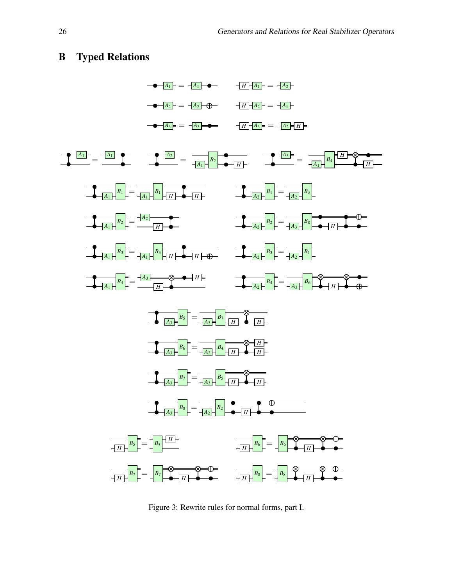## <span id="page-12-0"></span>B Typed Relations



Figure 3: Rewrite rules for normal forms, part I.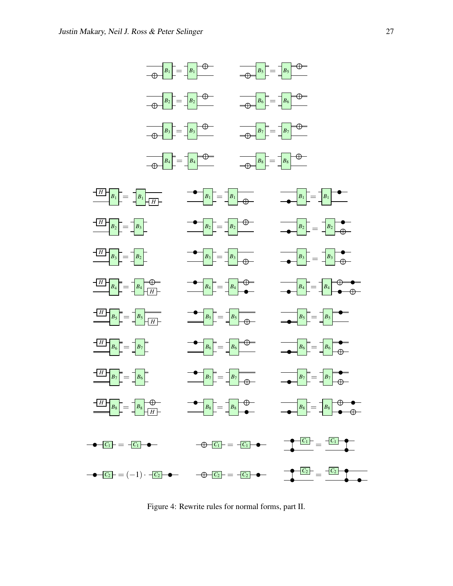

Figure 4: Rewrite rules for normal forms, part II.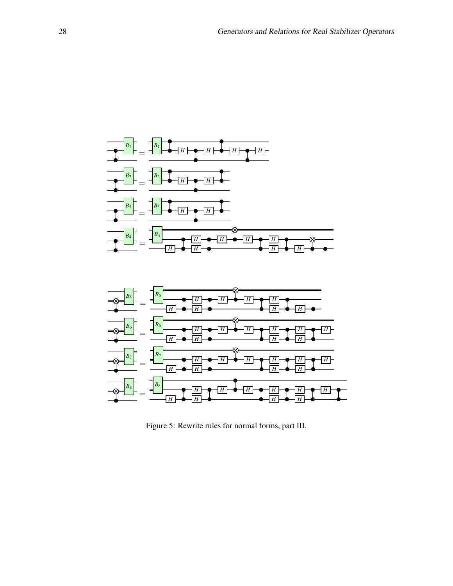



Figure 5: Rewrite rules for normal forms, part III.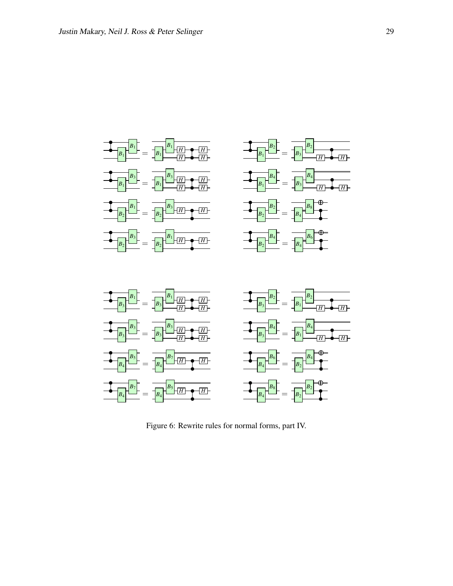

Figure 6: Rewrite rules for normal forms, part IV.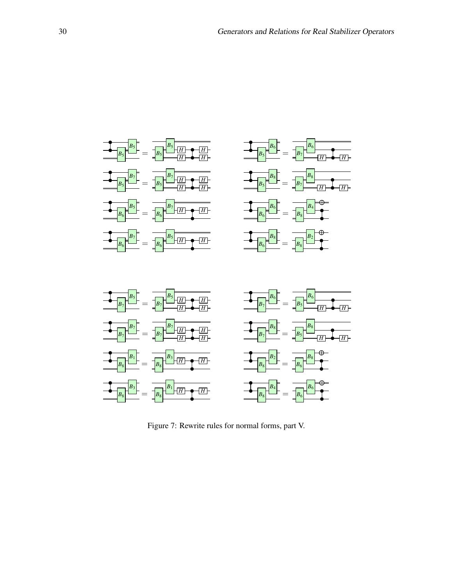

Figure 7: Rewrite rules for normal forms, part V.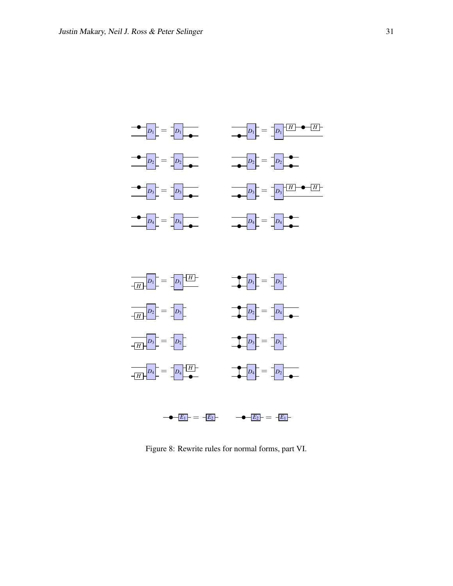



Figure 8: Rewrite rules for normal forms, part VI.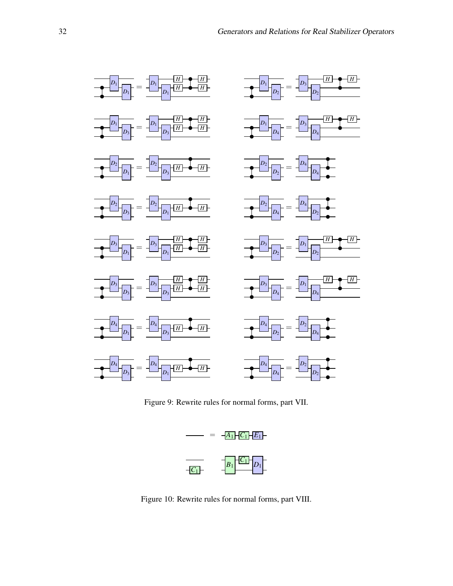

Figure 9: Rewrite rules for normal forms, part VII.



Figure 10: Rewrite rules for normal forms, part VIII.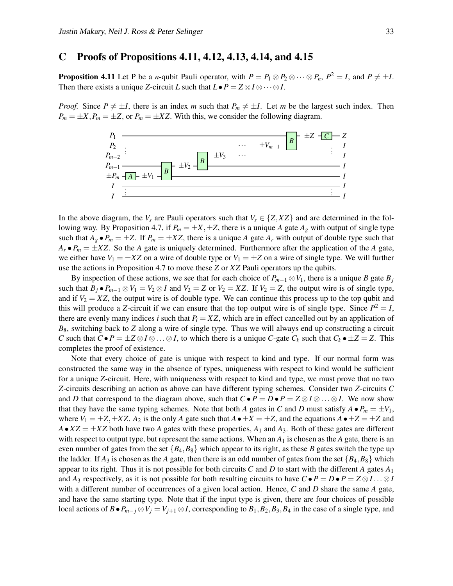### <span id="page-19-0"></span>C Proofs of Propositions 4.11, 4.12, 4.13, 4.14, and 4.15

**Proposition 4.11** Let P be a *n*-qubit Pauli operator, with  $P = P_1 \otimes P_2 \otimes \cdots \otimes P_n$ ,  $P^2 = I$ , and  $P \neq \pm I$ . Then there exists a unique *Z*-circuit *L* such that  $L \bullet P = Z \otimes I \otimes \cdots \otimes I$ .

*Proof.* Since  $P \neq \pm I$ , there is an index *m* such that  $P_m \neq \pm I$ . Let *m* be the largest such index. Then  $P_m = \pm X$ ,  $P_m = \pm Z$ , or  $P_m = \pm XZ$ . With this, we consider the following diagram.



In the above diagram, the  $V_s$  are Pauli operators such that  $V_s \in \{Z, XZ\}$  and are determined in the following way. By Proposition 4.7, if  $P_m = \pm X, \pm Z$ , there is a unique *A* gate  $A_g$  with output of single type such that  $A_g \bullet P_m = \pm Z$ . If  $P_m = \pm XZ$ , there is a unique *A* gate  $A_r$  with output of double type such that  $A_r \bullet P_m = \pm XZ$ . So the *A* gate is uniquely determined. Furthermore after the application of the *A* gate, we either have  $V_1 = \pm XZ$  on a wire of double type or  $V_1 = \pm Z$  on a wire of single type. We will further use the actions in Proposition 4.7 to move these *Z* or *XZ* Pauli operators up the qubits.

By inspection of these actions, we see that for each choice of  $P_{m-1} \otimes V_1$ , there is a unique *B* gate *B*<sup>*j*</sup> such that  $B_j \bullet P_{m-1} \otimes V_1 = V_2 \otimes I$  and  $V_2 = Z$  or  $V_2 = XZ$ . If  $V_2 = Z$ , the output wire is of single type, and if  $V_2 = XZ$ , the output wire is of double type. We can continue this process up to the top qubit and this will produce a *Z*-circuit if we can ensure that the top output wire is of single type. Since  $P^2 = I$ , there are evenly many indices *i* such that  $P_i = XZ$ , which are in effect cancelled out by an application of *B*8, switching back to *Z* along a wire of single type. Thus we will always end up constructing a circuit *C* such that  $C \cdot P = \pm Z \otimes I \otimes \ldots \otimes I$ , to which there is a unique *C*-gate  $C_k$  such that  $C_k \cdot \pm Z = Z$ . This completes the proof of existence.

Note that every choice of gate is unique with respect to kind and type. If our normal form was constructed the same way in the absence of types, uniqueness with respect to kind would be sufficient for a unique *Z*-circuit. Here, with uniqueness with respect to kind and type, we must prove that no two *Z*-circuits describing an action as above can have different typing schemes. Consider two *Z*-circuits *C* and *D* that correspond to the diagram above, such that  $C \cdot P = D \cdot P = Z \otimes I \otimes \ldots \otimes I$ . We now show that they have the same typing schemes. Note that both *A* gates in *C* and *D* must satisfy  $A \bullet P_m = \pm V_1$ , where  $V_1 = \pm Z, \pm XZ$ .  $A_2$  is the only *A* gate such that  $A \bullet \pm X = \pm Z$ , and the equations  $A \bullet \pm Z = \pm Z$  and  $A \bullet XZ = \pm XZ$  both have two *A* gates with these properties,  $A_1$  and  $A_3$ . Both of these gates are different with respect to output type, but represent the same actions. When an  $A_1$  is chosen as the  $A$  gate, there is an even number of gates from the set  ${B_4, B_8}$  which appear to its right, as these *B* gates switch the type up the ladder. If  $A_3$  is chosen as the A gate, then there is an odd number of gates from the set  $\{B_4, B_8\}$  which appear to its right. Thus it is not possible for both circuits *C* and *D* to start with the different *A* gates  $A_1$ and *A*<sub>3</sub> respectively, as it is not possible for both resulting circuits to have  $C \bullet P = D \bullet P = Z \otimes I \dots \otimes I$ with a different number of occurrences of a given local action. Hence, *C* and *D* share the same *A* gate, and have the same starting type. Note that if the input type is given, there are four choices of possible local actions of  $B \cdot P_{m-j} \otimes V_j = V_{j+1} \otimes I$ , corresponding to  $B_1, B_2, B_3, B_4$  in the case of a single type, and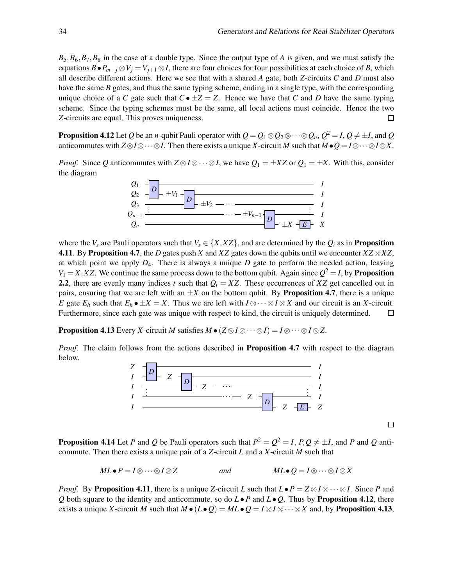$B_5, B_6, B_7, B_8$  in the case of a double type. Since the output type of *A* is given, and we must satisfy the equations  $B \bullet P_{m-j} \otimes V_j = V_{j+1} \otimes I$ , there are four choices for four possibilities at each choice of *B*, which all describe different actions. Here we see that with a shared *A* gate, both *Z*-circuits *C* and *D* must also have the same *B* gates, and thus the same typing scheme, ending in a single type, with the corresponding unique choice of a *C* gate such that  $C \bullet \pm Z = Z$ . Hence we have that *C* and *D* have the same typing scheme. Since the typing schemes must be the same, all local actions must coincide. Hence the two *Z*-circuits are equal. This proves uniqueness.  $\Box$ 

**Proposition 4.12** Let  $Q$  be an  $n$ -qubit Pauli operator with  $Q=Q_1\otimes Q_2\otimes \cdots \otimes Q_n,$   $Q^2=$   $I,$   $Q\neq \pm I,$  and  $Q$ anticommutes with  $Z \otimes I \otimes \cdots \otimes I$ . Then there exists a unique *X*-circuit *M* such that  $M \bullet Q = I \otimes \cdots \otimes I \otimes X$ .

*Proof.* Since *Q* anticommutes with  $Z \otimes I \otimes \cdots \otimes I$ , we have  $Q_1 = \pm XZ$  or  $Q_1 = \pm X$ . With this, consider the diagram



where the  $V_s$  are Pauli operators such that  $V_s \in \{X, XZ\}$ , and are determined by the  $Q_i$  as in **Proposition** 4.11. By Proposition 4.7, the *D* gates push *X* and *XZ* gates down the qubits until we encounter *XZ*⊗*XZ*, at which point we apply  $D_4$ . There is always a unique  $D$  gate to perform the needed action, leaving  $V_1 = X, XZ$ . We continue the same process down to the bottom qubit. Again since  $Q^2 = I$ , by **Proposition** 2.2, there are evenly many indices *t* such that  $Q_t = XZ$ . These occurrences of XZ get cancelled out in pairs, ensuring that we are left with an  $\pm X$  on the bottom qubit. By **Proposition 4.7**, there is a unique *E* gate  $E_h$  such that  $E_h \bullet \pm X = X$ . Thus we are left with  $I \otimes \cdots \otimes I \otimes X$  and our circuit is an *X*-circuit. Furthermore, since each gate was unique with respect to kind, the circuit is uniquely determined.  $\Box$ 

**Proposition 4.13** Every *X*-circuit *M* satisfies  $M \bullet (Z \otimes I \otimes \cdots \otimes I) = I \otimes \cdots \otimes I \otimes Z$ .

*Proof.* The claim follows from the actions described in **Proposition 4.7** with respect to the diagram below.



 $\Box$ 

**Proposition 4.14** Let *P* and *Q* be Pauli operators such that  $P^2 = Q^2 = I$ ,  $P, Q \neq \pm I$ , and *P* and *Q* anticommute. Then there exists a unique pair of a *Z*-circuit *L* and a *X*-circuit *M* such that

$$
ML \bullet P = I \otimes \cdots \otimes I \otimes Z \qquad \qquad and \qquad \qquad ML \bullet Q = I \otimes \cdots \otimes I \otimes X
$$

*Proof.* By Proposition 4.11, there is a unique *Z*-circuit *L* such that  $L \bullet P = Z \otimes I \otimes \cdots \otimes I$ . Since *P* and *Q* both square to the identity and anticommute, so do  $L \bullet P$  and  $L \bullet Q$ . Thus by **Proposition 4.12**, there exists a unique *X*-circuit *M* such that  $M \bullet (L \bullet Q) = ML \bullet Q = I \otimes I \otimes \cdots \otimes X$  and, by Proposition 4.13,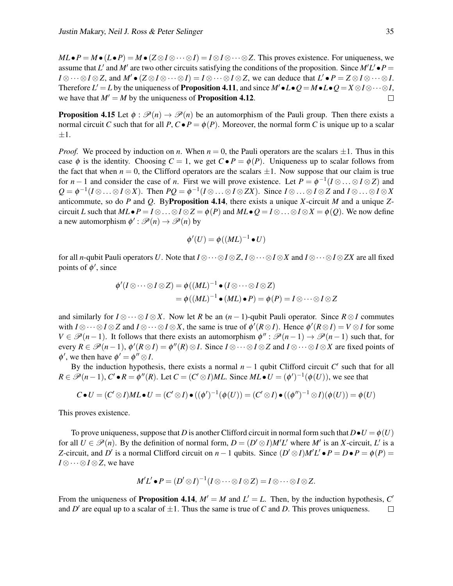*ML*•*P* = *M*•(*L*•*P*) = *M*•( $Z \otimes I \otimes \cdots \otimes I$ ) =  $I \otimes I \otimes \cdots \otimes Z$ . This proves existence. For uniqueness, we assume that *L'* and *M'* are two other circuits satisfying the conditions of the proposition. Since  $M'L' \bullet P =$ *I* ⊗ · · · ⊗ *I* ⊗ *Z*, and *M*<sup> $\bullet$ </sup>  $(Z \otimes I \otimes \cdots \otimes I) = I \otimes \cdots \otimes I \otimes Z$ , we can deduce that  $L' \bullet P = Z \otimes I \otimes \cdots \otimes I$ . Therefore  $L' = L$  by the uniqueness of **Proposition 4.11**, and since  $M' \bullet L \bullet Q = M \bullet L \bullet Q = X \otimes I \otimes \cdots \otimes I$ , we have that  $M' = M$  by the uniqueness of **Proposition 4.12**.  $\Box$ 

**Proposition 4.15** Let  $\phi : \mathcal{P}(n) \to \mathcal{P}(n)$  be an automorphism of the Pauli group. Then there exists a normal circuit *C* such that for all *P*,  $C \cdot P = \phi(P)$ . Moreover, the normal form *C* is unique up to a scalar  $\pm 1.$ 

*Proof.* We proceed by induction on *n*. When  $n = 0$ , the Pauli operators are the scalars  $\pm 1$ . Thus in this case  $\phi$  is the identity. Choosing  $C = 1$ , we get  $C \bullet P = \phi(P)$ . Uniqueness up to scalar follows from the fact that when  $n = 0$ , the Clifford operators are the scalars  $\pm 1$ . Now suppose that our claim is true for *n* − 1 and consider the case of *n*. First we will prove existence. Let  $P = \phi^{-1}(I \otimes ... \otimes I \otimes Z)$  and  $Q = \phi^{-1}(I \otimes \ldots \otimes I \otimes X)$ . Then  $PQ = \phi^{-1}(I \otimes \ldots \otimes I \otimes ZX)$ . Since  $I \otimes \ldots \otimes I \otimes Z$  and  $I \otimes \ldots \otimes I \otimes X$ anticommute, so do *P* and *Q*. ByProposition 4.14, there exists a unique *X*-circuit *M* and a unique *Z*circuit *L* such that  $ML \bullet P = I \otimes \ldots \otimes I \otimes Z = \phi(P)$  and  $ML \bullet Q = I \otimes \ldots \otimes I \otimes X = \phi(Q)$ . We now define a new automorphism  $\phi' : \mathcal{P}(n) \to \mathcal{P}(n)$  by

$$
\phi'(U) = \phi((ML)^{-1} \bullet U)
$$

for all *n*-qubit Pauli operators *U*. Note that  $I \otimes \cdots \otimes I \otimes Z$ ,  $I \otimes \cdots \otimes I \otimes X$  and  $I \otimes \cdots \otimes I \otimes ZX$  are all fixed points of  $\phi'$ , since

$$
\begin{aligned} \phi'(I \otimes \cdots \otimes I \otimes Z) &= \phi((ML)^{-1} \bullet (I \otimes \cdots \otimes I \otimes Z) \\ &= \phi((ML)^{-1} \bullet (ML) \bullet P) = \phi(P) = I \otimes \cdots \otimes I \otimes Z \end{aligned}
$$

and similarly for  $I \otimes \cdots \otimes I \otimes X$ . Now let *R* be an  $(n-1)$ -qubit Pauli operator. Since  $R \otimes I$  commutes with  $I \otimes \cdots \otimes I \otimes Z$  and  $I \otimes \cdots \otimes I \otimes X$ , the same is true of  $\phi'(R \otimes I)$ . Hence  $\phi'(R \otimes I) = V \otimes I$  for some  $V \in \mathscr{P}(n-1)$ . It follows that there exists an automorphism  $\phi'' : \mathscr{P}(n-1) \to \mathscr{P}(n-1)$  such that, for every  $R \in \mathcal{P}(n-1)$ ,  $\phi'(R \otimes I) = \phi''(R) \otimes I$ . Since  $I \otimes \cdots \otimes I \otimes Z$  and  $I \otimes \cdots \otimes I \otimes X$  are fixed points of  $\phi'$ , we then have  $\phi' = \phi'' \otimes I$ .

By the induction hypothesis, there exists a normal  $n-1$  qubit Clifford circuit  $C'$  such that for all  $R \in \mathscr{P}(n-1)$ ,  $C' \bullet R = \phi''(R)$ . Let  $C = (C' \otimes I)ML$ . Since  $ML \bullet U = (\phi')^{-1}(\phi(U))$ , we see that

$$
C \bullet U = (C' \otimes I)ML \bullet U = (C' \otimes I) \bullet ((\phi')^{-1}(\phi(U)) = (C' \otimes I) \bullet ((\phi'')^{-1} \otimes I)(\phi(U)) = \phi(U)
$$

This proves existence.

To prove uniqueness, suppose that *D* is another Clifford circuit in normal form such that  $D \bullet U = \phi(U)$ for all  $U \in \mathcal{P}(n)$ . By the definition of normal form,  $D = (D' \otimes I)M'L'$  where M' is an *X*-circuit, L' is a *Z*-circuit, and *D*<sup>*'*</sup> is a normal Clifford circuit on *n* − 1 qubits. Since  $(D' \otimes I)M'L' \bullet P = D \bullet P = \phi(P) =$ *I* ⊗··· ⊗*I* ⊗*Z*, we have

$$
M'L' \bullet P = (D' \otimes I)^{-1} (I \otimes \cdots \otimes I \otimes Z) = I \otimes \cdots \otimes I \otimes Z.
$$

From the uniqueness of **Proposition 4.14**,  $M' = M$  and  $L' = L$ . Then, by the induction hypothesis,  $C'$ and  $D'$  are equal up to a scalar of  $\pm 1$ . Thus the same is true of *C* and *D*. This proves uniqueness.  $\Box$